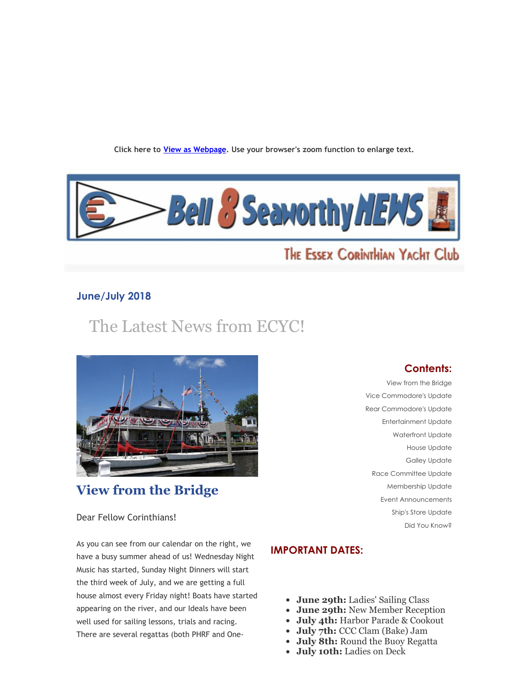**Click here to View as Webpage. Use your browser's zoom function to enlarge text.**



# THE ESSEX CORINTHIAN YACHT Club

## **June/July 2018**

# The Latest News from ECYC!



# **View from the Bridge**

## **Contents:**

View from the Bridge Vice Commodore's Update Rear Commodore's Update Entertainment Update Waterfront Update House Update Galley Update Race Committee Update Membership Update Event Announcements Ship's Store Update Did You Know?

Dear Fellow Corinthians!

As you can see from our calendar on the right, we have a busy summer ahead of us! Wednesday Night Music has started, Sunday Night Dinners will start the third week of July, and we are getting a full house almost every Friday night! Boats have started appearing on the river, and our Ideals have been well used for sailing lessons, trials and racing. There are several regattas (both PHRF and One‑

## **IMPORTANT DATES:**

- **June 29th:** Ladies' Sailing Class
- **June 29th:** New Member Reception
- **July 4th:** Harbor Parade & Cookout
- **July 7th:** CCC Clam (Bake) Jam
- **July 8th:** Round the Buoy Regatta
- **July 10th:** Ladies on Deck $\bullet$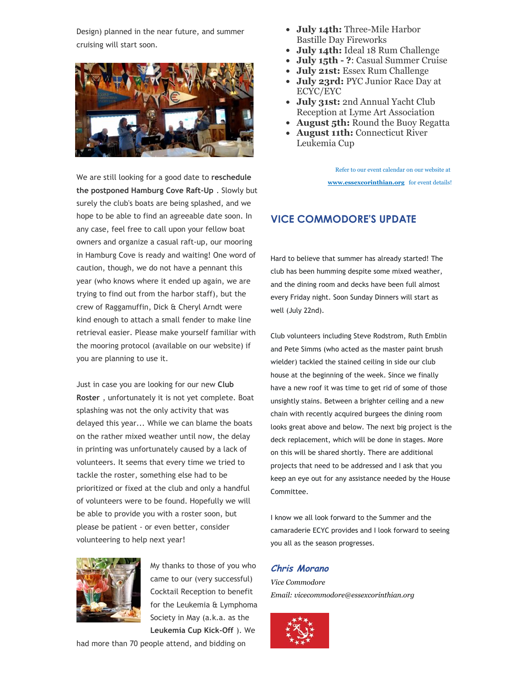Design) planned in the near future, and summer cruising will start soon.



We are still looking for a good date to **reschedule the postponed Hamburg Cove Raft‑Up** . Slowly but surely the club's boats are being splashed, and we hope to be able to find an agreeable date soon. In any case, feel free to call upon your fellow boat owners and organize a casual raft‑up, our mooring in Hamburg Cove is ready and waiting! One word of caution, though, we do not have a pennant this year (who knows where it ended up again, we are trying to find out from the harbor staff), but the crew of Raggamuffin, Dick & Cheryl Arndt were kind enough to attach a small fender to make line retrieval easier. Please make yourself familiar with the mooring protocol (available on our website) if you are planning to use it.

Just in case you are looking for our new **Club Roster** , unfortunately it is not yet complete. Boat splashing was not the only activity that was delayed this year... While we can blame the boats on the rather mixed weather until now, the delay in printing was unfortunately caused by a lack of volunteers. It seems that every time we tried to tackle the roster, something else had to be prioritized or fixed at the club and only a handful of volunteers were to be found. Hopefully we will be able to provide you with a roster soon, but please be patient ‑ or even better, consider volunteering to help next year!



My thanks to those of you who came to our (very successful) Cocktail Reception to benefit for the Leukemia & Lymphoma Society in May (a.k.a. as the **Leukemia Cup Kick‑Off** ). We

had more than 70 people attend, and bidding on

- **July 14th:** Three-Mile Harbor Bastille Day Fireworks
- **July 14th:** Ideal 18 Rum Challenge
- **July 15th ?**: Casual Summer Cruise
- **July 21st:** Essex Rum Challenge
- **July 23rd:** PYC Junior Race Day at ECYC/EYC
- **July 31st:** 2nd Annual Yacht Club Reception at Lyme Art Association
- **August 5th:** Round the Buoy Regatta
- **August 11th:** Connecticut River Leukemia Cup

Refer to our event calendar on our website at **www.essexcorinthian.org** for event details!

## **VICE COMMODORE'S UPDATE**

Hard to believe that summer has already started! The club has been humming despite some mixed weather, and the dining room and decks have been full almost every Friday night. Soon Sunday Dinners will start as well (July 22nd).

Club volunteers including Steve Rodstrom, Ruth Emblin and Pete Simms (who acted as the master paint brush wielder) tackled the stained ceiling in side our club house at the beginning of the week. Since we finally have a new roof it was time to get rid of some of those unsightly stains. Between a brighter ceiling and a new chain with recently acquired burgees the dining room looks great above and below. The next big project is the deck replacement, which will be done in stages. More on this will be shared shortly. There are additional projects that need to be addressed and I ask that you keep an eye out for any assistance needed by the House Committee.

I know we all look forward to the Summer and the camaraderie ECYC provides and I look forward to seeing you all as the season progresses.

#### **Chris Morano**

*Vice Commodore Email: vicecommodore@essexcorinthian.org*

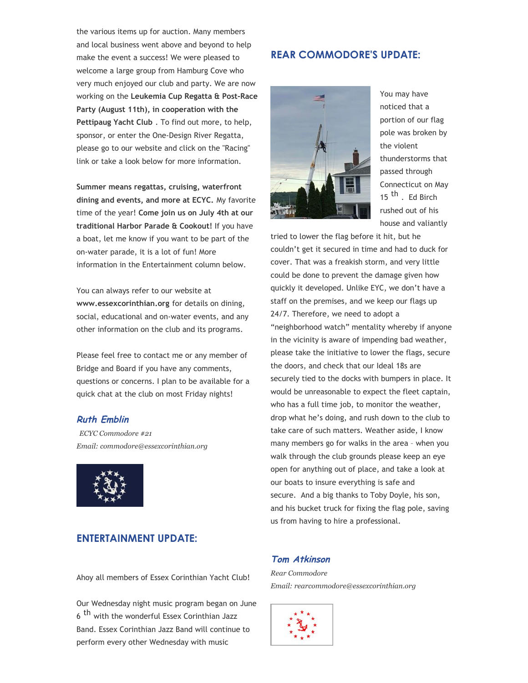the various items up for auction. Many members and local business went above and beyond to help make the event a success! We were pleased to welcome a large group from Hamburg Cove who very much enjoyed our club and party. We are now working on the **Leukemia Cup Regatta & Post‑Race Party (August 11th), in cooperation with the Pettipaug Yacht Club** . To find out more, to help, sponsor, or enter the One‑Design River Regatta, please go to our website and click on the "Racing" link or take a look below for more information.

**Summer means regattas, cruising, waterfront dining and events, and more at ECYC.** My favorite time of the year! **Come join us on July 4th at our traditional Harbor Parade & Cookout!** If you have a boat, let me know if you want to be part of the on‑water parade, it is a lot of fun! More information in the Entertainment column below.

You can always refer to our website at **www.essexcorinthian.org** for details on dining, social, educational and on‑water events, and any other information on the club and its programs.

Please feel free to contact me or any member of Bridge and Board if you have any comments, questions or concerns. I plan to be available for a quick chat at the club on most Friday nights!

#### **Ruth Emblin**

*ECYC Commodore #21 Email: commodore@essexcorinthian.org*



## **ENTERTAINMENT UPDATE:**

Ahoy all members of Essex Corinthian Yacht Club!

Our Wednesday night music program began on June 6<sup>th</sup> with the wonderful Essex Corinthian Jazz Band. Essex Corinthian Jazz Band will continue to perform every other Wednesday with music

## **REAR COMMODORE'S UPDATE:**



You may have noticed that a portion of our flag pole was broken by the violent thunderstorms that passed through Connecticut on May 15<sup>th</sup>. Ed Birch rushed out of his house and valiantly

tried to lower the flag before it hit, but he couldn't get it secured in time and had to duck for cover. That was a freakish storm, and very little could be done to prevent the damage given how quickly it developed. Unlike EYC, we don't have a staff on the premises, and we keep our flags up 24/7. Therefore, we need to adopt a "neighborhood watch" mentality whereby if anyone in the vicinity is aware of impending bad weather, please take the initiative to lower the flags, secure the doors, and check that our Ideal 18s are securely tied to the docks with bumpers in place. It would be unreasonable to expect the fleet captain, who has a full time job, to monitor the weather, drop what he's doing, and rush down to the club to take care of such matters. Weather aside, I know many members go for walks in the area – when you walk through the club grounds please keep an eye open for anything out of place, and take a look at our boats to insure everything is safe and secure. And a big thanks to Toby Doyle, his son, and his bucket truck for fixing the flag pole, saving us from having to hire a professional.

#### **Tom Atkinson**

*Rear Commodore Email: rearcommodore@essexcorinthian.org*

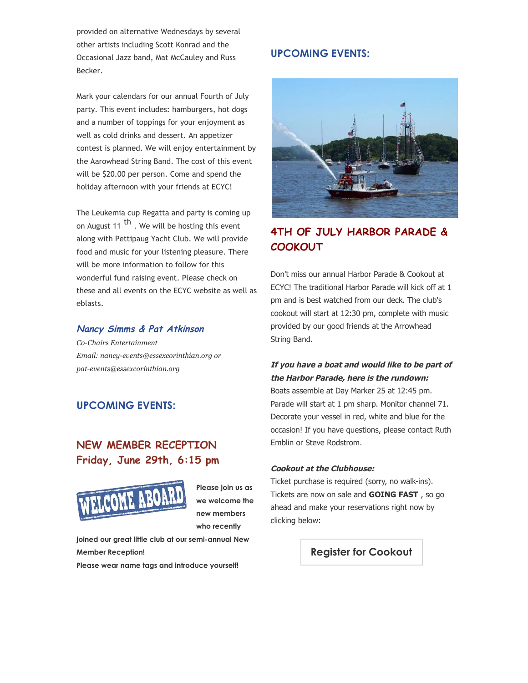provided on alternative Wednesdays by several other artists including Scott Konrad and the Occasional Jazz band, Mat McCauley and Russ Becker.

Mark your calendars for our annual Fourth of July party. This event includes: hamburgers, hot dogs and a number of toppings for your enjoyment as well as cold drinks and dessert. An appetizer contest is planned. We will enjoy entertainment by the Aarowhead String Band. The cost of this event will be \$20.00 per person. Come and spend the holiday afternoon with your friends at ECYC!

The Leukemia cup Regatta and party is coming up on August 11  $<sup>th</sup>$ . We will be hosting this event</sup> along with Pettipaug Yacht Club. We will provide food and music for your listening pleasure. There will be more information to follow for this wonderful fund raising event. Please check on these and all events on the ECYC website as well as eblasts.

#### **Nancy Simms & Pat Atkinson**

*CoChairs Entertainment Email: nancy-events@essexcorinthian.org or patevents@essexcorinthian.org*

## **UPCOMING EVENTS:**

## **NEW MEMBER RECEPTION Friday, June 29th, 6:15 pm**



**Please join us as we welcome the new members who recently**

joined our great little club at our semi-annual New **Member Reception!**

**Please wear name tags and introduce yourself!**

#### **UPCOMING EVENTS:**



## **4TH OF JULY HARBOR PARADE & COOKOUT**

Don't miss our annual Harbor Parade & Cookout at ECYC! The traditional Harbor Parade will kick off at 1 pm and is best watched from our deck. The club's cookout will start at 12:30 pm, complete with music provided by our good friends at the Arrowhead String Band.

## **If you have a boat and would like to be part of the Harbor Parade, here is the rundown:**

Boats assemble at Day Marker 25 at 12:45 pm. Parade will start at 1 pm sharp. Monitor channel 71. Decorate your vessel in red, white and blue for the occasion! If you have questions, please contact Ruth Emblin or Steve Rodstrom.

#### **Cookout at the Clubhouse:**

Ticket purchase is required (sorry, no walk-ins). Tickets are now on sale and **GOING FAST** , so go ahead and make your reservations right now by clicking below:

**Register for Cookout**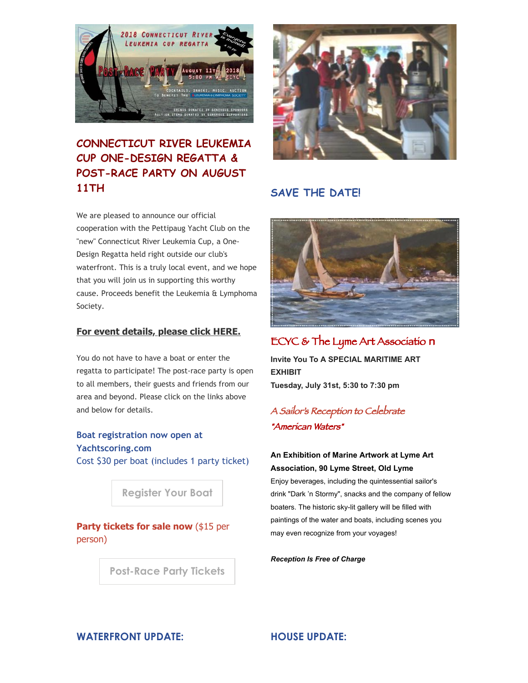

# **CONNECTICUT RIVER LEUKEMIA CUP ONE-DESIGN REGATTA & POST-RACE PARTY ON AUGUST 11TH**

We are pleased to announce our official cooperation with the Pettipaug Yacht Club on the "new" Connecticut River Leukemia Cup, a One‑ Design Regatta held right outside our club's waterfront. This is a truly local event, and we hope that you will join us in supporting this worthy cause. Proceeds benefit the Leukemia & Lymphoma Society.

#### **For event details, please click HERE.**

You do not have to have a boat or enter the regatta to participate! The post-race party is open to all members, their guests and friends from our area and beyond. Please click on the links above and below for details.

## **Boat registration now open at Yachtscoring.com** Cost \$30 per boat (includes 1 party ticket)

**Register Your Boat**

**Party tickets for sale now (\$15 per** person)

**Post-Race Party Tickets** 



## **SAVE THE DATE!**



# ECYC & The Lyme Art Associatio n

**Invite You To A SPECIAL MARITIME ART EXHIBIT Tuesday, July 31st, 5:30 to 7:30 pm**

## A Sailor's Reception to Celebrate "American Waters"

## **An Exhibition of Marine Artwork at Lyme Art Association, 90 Lyme Street, Old Lyme**

Enjoy beverages, including the quintessential sailor's drink "Dark 'n Stormy", snacks and the company of fellow boaters. The historic sky-lit gallery will be filled with paintings of the water and boats, including scenes you may even recognize from your voyages!

*Reception Is Free of Charge*

## **WATERFRONT UPDATE: HOUSE UPDATE:**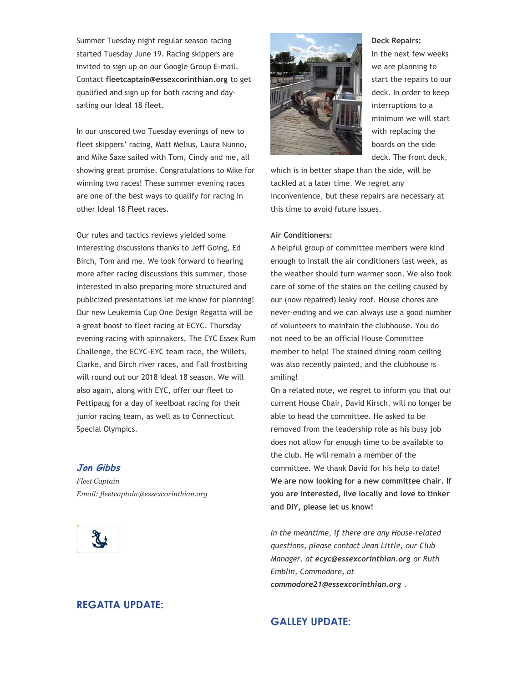Summer Tuesday night regular season racing started Tuesday June 19. Racing skippers are invited to sign up on our Google Group E‑mail. Contact **fleetcaptain@essexcorinthian.org** to get qualified and sign up for both racing and daysailing our Ideal 18 fleet.

In our unscored two Tuesday evenings of new to fleet skippers' racing, Matt Melius, Laura Nunno, and Mike Saxe sailed with Tom, Cindy and me, all showing great promise. Congratulations to Mike for winning two races! These summer evening races are one of the best ways to qualify for racing in other Ideal 18 Fleet races.

Our rules and tactics reviews yielded some interesting discussions thanks to Jeff Going, Ed Birch, Tom and me. We look forward to hearing more after racing discussions this summer, those interested in also preparing more structured and publicized presentations let me know for planning! Our new Leukemia Cup One Design Regatta will be a great boost to fleet racing at ECYC. Thursday evening racing with spinnakers, The EYC Essex Rum Challenge, the ECYC‑EYC team race, the Willets, Clarke, and Birch river races, and Fall frostbiting will round out our 2018 Ideal 18 season. We will also again, along with EYC, offer our fleet to Pettipaug for a day of keelboat racing for their junior racing team, as well as to Connecticut Special Olympics.

#### **Jon Gibbs**

*Fleet Captain Email: fleetcaptain@essexcorinthian.org*



## **REGATTA UPDATE:**



#### **Deck Repairs:**

In the next few weeks we are planning to start the repairs to our deck. In order to keep interruptions to a minimum we will start with replacing the boards on the side deck. The front deck,

which is in better shape than the side, will be tackled at a later time. We regret any inconvenience, but these repairs are necessary at this time to avoid future issues.

#### **Air Conditioners:**

A helpful group of committee members were kind enough to install the air conditioners last week, as the weather should turn warmer soon. We also took care of some of the stains on the ceiling caused by our (now repaired) leaky roof. House chores are never‑ending and we can always use a good number of volunteers to maintain the clubhouse. You do not need to be an official House Committee member to help! The stained dining room ceiling was also recently painted, and the clubhouse is smiling!

On a related note, we regret to inform you that our current House Chair, David Kirsch, will no longer be able to head the committee. He asked to be removed from the leadership role as his busy job does not allow for enough time to be available to the club. He will remain a member of the committee. We thank David for his help to date! **We are now looking for a new committee chair. If you are interested, live locally and love to tinker and DIY, please let us know!**

*In the meantime, if there are any House‑related questions, please contact Jean Little, our Club Manager, at ecyc@essexcorinthian.org or Ruth Emblin, Commodore, at commodore21@essexcorinthian.org .*

## **GALLEY UPDATE:**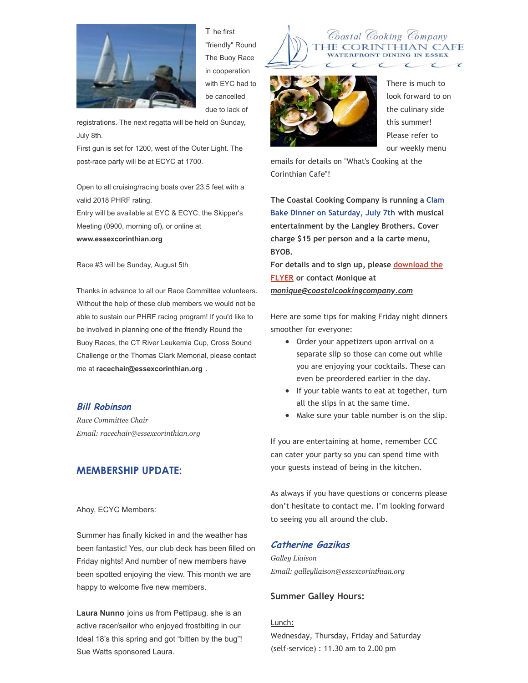

T he first "friendly" Round The Buoy Race in cooperation with EYC had to be cancelled due to lack of

registrations. The next regatta will be held on Sunday, July 8th.

First gun is set for 1200, west of the Outer Light. The post-race party will be at ECYC at 1700.

Open to all cruising/racing boats over 23.5 feet with a valid 2018 PHRF rating.

Entry will be available at EYC & ECYC, the Skipper's Meeting (0900, morning of), or online at **www.essexcorinthian.org**

Race #3 will be Sunday, August 5th

Thanks in advance to all our Race Committee volunteers. Without the help of these club members we would not be able to sustain our PHRF racing program! If you'd like to be involved in planning one of the friendly Round the Buoy Races, the CT River Leukemia Cup, Cross Sound Challenge or the Thomas Clark Memorial, please contact me at **racechair@essexcorinthian.org** .

#### **Bill Robinson**

*Race Committee Chair Email: racechair@essexcorinthian.org*

## **MEMBERSHIP UPDATE:**

Ahoy, ECYC Members:

Summer has finally kicked in and the weather has been fantastic! Yes, our club deck has been filled on Friday nights! And number of new members have been spotted enjoying the view. This month we are happy to welcome five new members.

**Laura Nunno** joins us from Pettipaug. she is an active racer/sailor who enjoyed frostbiting in our Ideal 18's this spring and got "bitten by the bug"! Sue Watts sponsored Laura.





There is much to look forward to on the culinary side this summer! Please refer to our weekly menu

emails for details on "What's Cooking at the Corinthian Cafe"!

**The Coastal Cooking Company is running a Clam Bake Dinner on Saturday, July 7th with musical entertainment by the Langley Brothers. Cover charge \$15 per person and a la carte menu, BYOB.**

**For details and to sign up, please download the FLYER or contact Monique at** *monique@coastalcookingcompany.com*

Here are some tips for making Friday night dinners smoother for everyone:

- Order your appetizers upon arrival on a separate slip so those can come out while you are enjoying your cocktails. These can even be preordered earlier in the day.
- If your table wants to eat at together, turn all the slips in at the same time.
- Make sure your table number is on the slip.

If you are entertaining at home, remember CCC can cater your party so you can spend time with your guests instead of being in the kitchen.

As always if you have questions or concerns please don't hesitate to contact me. I'm looking forward to seeing you all around the club.

#### **Catherine Gazikas**

*Galley Liaison Email: galleyliaison@essexcorinthian.org*

#### **Summer Galley Hours:**

Lunch: Wednesday, Thursday, Friday and Saturday (self‑service) : 11.30 am to 2.00 pm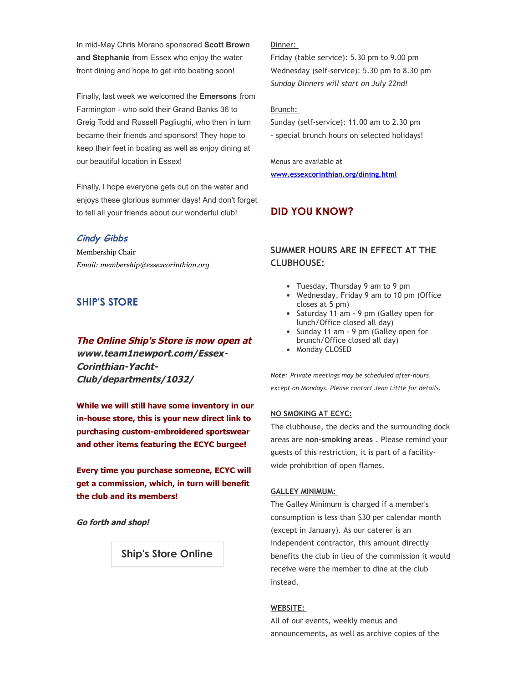In mid-May Chris Morano sponsored **Scott Brown and Stephanie** from Essex who enjoy the water front dining and hope to get into boating soon!

Finally, last week we welcomed the **Emersons** from Farmington - who sold their Grand Banks 36 to Greig Todd and Russell Pagliughi, who then in turn became their friends and sponsors! They hope to keep their feet in boating as well as enjoy dining at our beautiful location in Essex!

Finally, I hope everyone gets out on the water and enjoys these glorious summer days! And don't forget to tell all your friends about our wonderful club!

#### **Cindy Gibbs**

Membership Chair *Email: membership@essexcorinthian.org*

## **SHIP'S STORE**

#### **The Online Ship's Store is now open at**

**www.team1newport.com/Essex-**Corinthian-Yacht-**Club/departments/1032/**

**While we will still have some inventory in our inhouse store, this is your new direct link to purchasing customembroidered sportswear and other items featuring the ECYC burgee!**

**Every time you purchase someone, ECYC will get a commission, which, in turn will benefit the club and its members!**

**Go forth and shop!**

#### **Ship's Store Online**

#### Dinner:

Friday (table service): 5.30 pm to 9.00 pm Wednesday (self‑service): 5.30 pm to 8.30 pm *Sunday Dinners will start on July 22nd!*

#### Brunch:

Sunday (self‑service): 11.00 am to 2.30 pm ‑ special brunch hours on selected holidays!

Menus are available at **www.essexcorinthian.org/dining.html**

## **DID YOU KNOW?**

## **SUMMER HOURS ARE IN EFFECT AT THE CLUBHOUSE:**

- Tuesday, Thursday 9 am to 9 pm
- Wednesday, Friday 9 am to 10 pm (Office closes at 5 pm)
- Saturday 11 am 9 pm (Galley open for lunch/Office closed all day)
- Sunday 11 am 9 pm (Galley open for brunch/Office closed all day)
- Monday CLOSED

*Note: Private meetings may be scheduled after‑hours, except on Mondays. Please contact Jean Little for details.*

#### **NO SMOKING AT ECYC:**

The clubhouse, the decks and the surrounding dock areas are **non‑smoking areas** . Please remind your guests of this restriction, it is part of a facilitywide prohibition of open flames.

#### **GALLEY MINIMUM:**

The Galley Minimum is charged if a member's consumption is less than \$30 per calendar month (except in January). As our caterer is an independent contractor, this amount directly benefits the club in lieu of the commission it would receive were the member to dine at the club instead.

#### **WEBSITE:**

All of our events, weekly menus and announcements, as well as archive copies of the